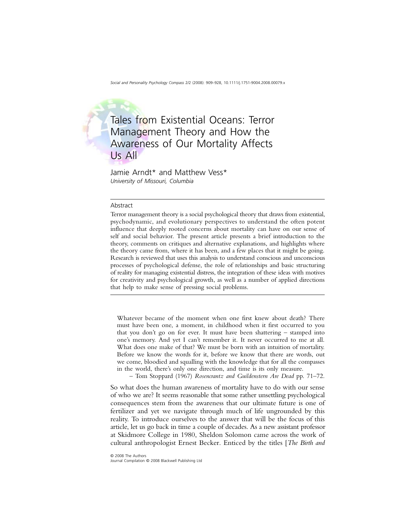*Social and Personality Psychology Compass* 2/2 (2008): 909–928, 10.1111/j.1751-9004.2008.00079.x

# Tales from Existential Oceans: Terror Management Theory and How the Awareness of Our Mortality Affects Us All

Jamie Arndt\* and Matthew Vess\* *University of Missouri, Columbia*

#### Abstract

Terror management theory is a social psychological theory that draws from existential, psychodynamic, and evolutionary perspectives to understand the often potent influence that deeply rooted concerns about mortality can have on our sense of self and social behavior. The present article presents a brief introduction to the theory, comments on critiques and alternative explanations, and highlights where the theory came from, where it has been, and a few places that it might be going. Research is reviewed that uses this analysis to understand conscious and unconscious processes of psychological defense, the role of relationships and basic structuring of reality for managing existential distress, the integration of these ideas with motives for creativity and psychological growth, as well as a number of applied directions that help to make sense of pressing social problems.

Whatever became of the moment when one first knew about death? There must have been one, a moment, in childhood when it first occurred to you that you don't go on for ever. It must have been shattering – stamped into one's memory. And yet I can't remember it. It never occurred to me at all. What does one make of that? We must be born with an intuition of mortality. Before we know the words for it, before we know that there are words, out we come, bloodied and squalling with the knowledge that for all the compasses in the world, there's only one direction, and time is its only measure.

– Tom Stoppard (1967) *Rosencrantz and Guildenstern Are Dead* pp. 71–72.

So what does the human awareness of mortality have to do with our sense of who we are? It seems reasonable that some rather unsettling psychological consequences stem from the awareness that our ultimate future is one of fertilizer and yet we navigate through much of life ungrounded by this reality. To introduce ourselves to the answer that will be the focus of this article, let us go back in time a couple of decades. As a new assistant professor at Skidmore College in 1980, Sheldon Solomon came across the work of cultural anthropologist Ernest Becker. Enticed by the titles [*The Birth and*

© 2008 The Authors Journal Compilation © 2008 Blackwell Publishing Ltd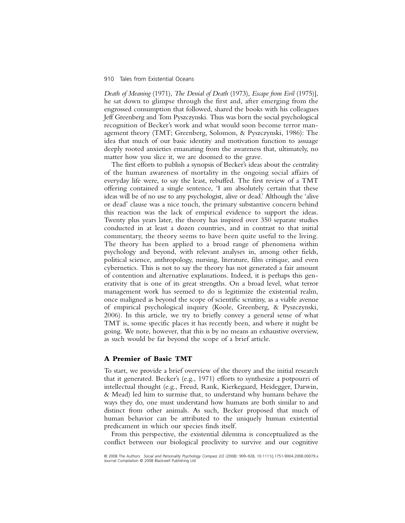*Death of Meaning* (1971), *The Denial of Death* (1973), *Escape from Evil* (1975)], he sat down to glimpse through the first and, after emerging from the engrossed consumption that followed, shared the books with his colleagues Jeff Greenberg and Tom Pyszczynski. Thus was born the social psychological recognition of Becker's work and what would soon become terror management theory (TMT; Greenberg, Solomon, & Pyszczynski, 1986): The idea that much of our basic identity and motivation function to assuage deeply rooted anxieties emanating from the awareness that, ultimately, no matter how you slice it, we are doomed to the grave.

The first efforts to publish a synopsis of Becker's ideas about the centrality of the human awareness of mortality in the ongoing social affairs of everyday life were, to say the least, rebuffed. The first review of a TMT offering contained a single sentence, 'I am absolutely certain that these ideas will be of no use to any psychologist, alive or dead.' Although the 'alive or dead' clause was a nice touch, the primary substantive concern behind this reaction was the lack of empirical evidence to support the ideas. Twenty plus years later, the theory has inspired over 350 separate studies conducted in at least a dozen countries, and in contrast to that initial commentary, the theory seems to have been quite useful to the living. The theory has been applied to a broad range of phenomena within psychology and beyond, with relevant analyses in, among other fields, political science, anthropology, nursing, literature, film critique, and even cybernetics. This is not to say the theory has not generated a fair amount of contention and alternative explanations. Indeed, it is perhaps this generativity that is one of its great strengths. On a broad level, what terror management work has seemed to do is legitimize the existential realm, once maligned as beyond the scope of scientific scrutiny, as a viable avenue of empirical psychological inquiry (Koole, Greenberg, & Pyszczynski, 2006). In this article, we try to briefly convey a general sense of what TMT is, some specific places it has recently been, and where it might be going. We note, however, that this is by no means an exhaustive overview, as such would be far beyond the scope of a brief article.

## **A Premier of Basic TMT**

To start, we provide a brief overview of the theory and the initial research that it generated. Becker's (e.g., 1971) efforts to synthesize a potpourri of intellectual thought (e.g., Freud, Rank, Kierkegaard, Heidegger, Darwin, & Mead) led him to surmise that, to understand why humans behave the ways they do, one must understand how humans are both similar to and distinct from other animals. As such, Becker proposed that much of human behavior can be attributed to the uniquely human existential predicament in which our species finds itself.

From this perspective, the existential dilemma is conceptualized as the conflict between our biological proclivity to survive and our cognitive

<sup>© 2008</sup> The Authors *Social and Personality Psychology Compass* 2/2 (2008): 909–928, 10.1111/j.1751-9004.2008.00079.x Journal Compilation © 2008 Blackwell Publishing Ltd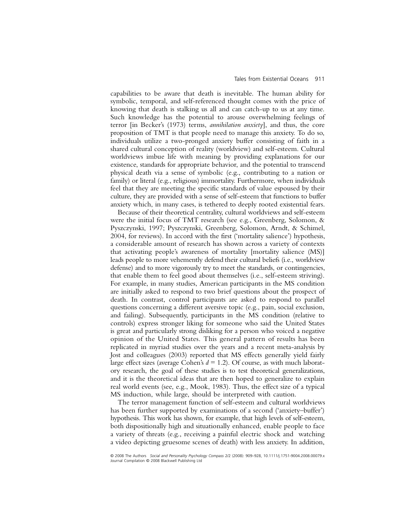capabilities to be aware that death is inevitable. The human ability for symbolic, temporal, and self-referenced thought comes with the price of knowing that death is stalking us all and can catch-up to us at any time. Such knowledge has the potential to arouse overwhelming feelings of terror [in Becker's (1973) terms, *annihilation anxiety*], and thus, the core proposition of TMT is that people need to manage this anxiety. To do so, individuals utilize a two-pronged anxiety buffer consisting of faith in a shared cultural conception of reality (worldview) and self-esteem. Cultural worldviews imbue life with meaning by providing explanations for our existence, standards for appropriate behavior, and the potential to transcend physical death via a sense of symbolic (e.g., contributing to a nation or family) or literal (e.g., religious) immortality. Furthermore, when individuals feel that they are meeting the specific standards of value espoused by their culture, they are provided with a sense of self-esteem that functions to buffer anxiety which, in many cases, is tethered to deeply rooted existential fears.

Because of their theoretical centrality, cultural worldviews and self-esteem were the initial focus of TMT research (see e.g., Greenberg, Solomon, & Pyszczynski, 1997; Pyszczynski, Greenberg, Solomon, Arndt, & Schimel, 2004, for reviews). In accord with the first ('mortality salience') hypothesis, a considerable amount of research has shown across a variety of contexts that activating people's awareness of mortality [mortality salience (MS)] leads people to more vehemently defend their cultural beliefs (i.e., worldview defense) and to more vigorously try to meet the standards, or contingencies, that enable them to feel good about themselves (i.e., self-esteem striving). For example, in many studies, American participants in the MS condition are initially asked to respond to two brief questions about the prospect of death. In contrast, control participants are asked to respond to parallel questions concerning a different aversive topic (e.g., pain, social exclusion, and failing). Subsequently, participants in the MS condition (relative to controls) express stronger liking for someone who said the United States is great and particularly strong disliking for a person who voiced a negative opinion of the United States. This general pattern of results has been replicated in myriad studies over the years and a recent meta-analysis by Jost and colleagues (2003) reported that MS effects generally yield fairly large effect sizes (average Cohen's *d* = 1.2). Of course, as with much laboratory research, the goal of these studies is to test theoretical generalizations, and it is the theoretical ideas that are then hoped to generalize to explain real world events (see, e.g., Mook, 1983). Thus, the effect size of a typical MS induction, while large, should be interpreted with caution.

The terror management function of self-esteem and cultural worldviews has been further supported by examinations of a second ('anxiety–buffer') hypothesis. This work has shown, for example, that high levels of self-esteem, both dispositionally high and situationally enhanced, enable people to face a variety of threats (e.g., receiving a painful electric shock and watching a video depicting gruesome scenes of death) with less anxiety. In addition,

<sup>© 2008</sup> The Authors *Social and Personality Psychology Compass* 2/2 (2008): 909–928, 10.1111/j.1751-9004.2008.00079.x Journal Compilation © 2008 Blackwell Publishing Ltd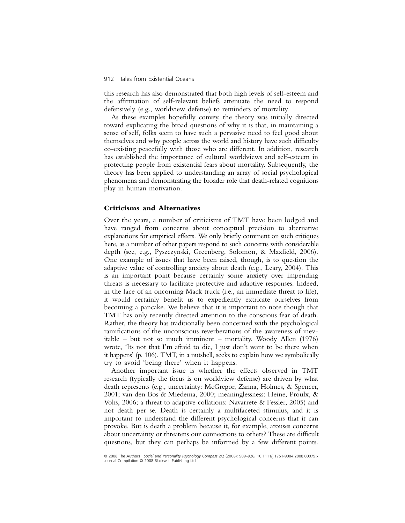this research has also demonstrated that both high levels of self-esteem and the affirmation of self-relevant beliefs attenuate the need to respond defensively (e.g., worldview defense) to reminders of mortality.

As these examples hopefully convey, the theory was initially directed toward explicating the broad questions of why it is that, in maintaining a sense of self, folks seem to have such a pervasive need to feel good about themselves and why people across the world and history have such difficulty co-existing peacefully with those who are different. In addition, research has established the importance of cultural worldviews and self-esteem in protecting people from existential fears about mortality. Subsequently, the theory has been applied to understanding an array of social psychological phenomena and demonstrating the broader role that death-related cognitions play in human motivation.

## **Criticisms and Alternatives**

Over the years, a number of criticisms of TMT have been lodged and have ranged from concerns about conceptual precision to alternative explanations for empirical effects. We only briefly comment on such critiques here, as a number of other papers respond to such concerns with considerable depth (see, e.g., Pyszczynski, Greenberg, Solomon, & Maxfield, 2006). One example of issues that have been raised, though, is to question the adaptive value of controlling anxiety about death (e.g., Leary, 2004). This is an important point because certainly some anxiety over impending threats is necessary to facilitate protective and adaptive responses. Indeed, in the face of an oncoming Mack truck (i.e., an immediate threat to life), it would certainly benefit us to expediently extricate ourselves from becoming a pancake. We believe that it is important to note though that TMT has only recently directed attention to the conscious fear of death. Rather, the theory has traditionally been concerned with the psychological ramifications of the unconscious reverberations of the awareness of inevitable – but not so much imminent – mortality. Woody Allen (1976) wrote, 'Its not that I'm afraid to die, I just don't want to be there when it happens' (p. 106). TMT, in a nutshell, seeks to explain how we symbolically try to avoid 'being there' when it happens.

Another important issue is whether the effects observed in TMT research (typically the focus is on worldview defense) are driven by what death represents (e.g., uncertainty: McGregor, Zanna, Holmes, & Spencer, 2001; van den Bos & Miedema, 2000; meaninglessness: Heine, Proulx, & Vohs, 2006; a threat to adaptive collations: Navarrete & Fessler, 2005) and not death per se. Death is certainly a multifaceted stimulus, and it is important to understand the different psychological concerns that it can provoke. But is death a problem because it, for example, arouses concerns about uncertainty or threatens our connections to others? These are difficult questions, but they can perhaps be informed by a few different points.

<sup>© 2008</sup> The Authors *Social and Personality Psychology Compass* 2/2 (2008): 909–928, 10.1111/j.1751-9004.2008.00079.x Journal Compilation © 2008 Blackwell Publishing Ltd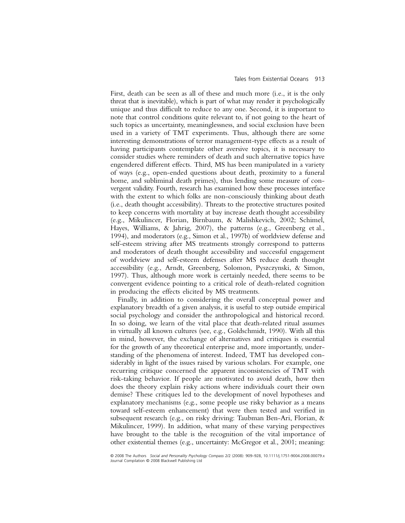First, death can be seen as all of these and much more (i.e., it is the only threat that is inevitable), which is part of what may render it psychologically unique and thus difficult to reduce to any one. Second, it is important to note that control conditions quite relevant to, if not going to the heart of such topics as uncertainty, meaninglessness, and social exclusion have been used in a variety of TMT experiments. Thus, although there are some interesting demonstrations of terror management-type effects as a result of having participants contemplate other aversive topics, it is necessary to consider studies where reminders of death and such alternative topics have engendered different effects. Third, MS has been manipulated in a variety of ways (e.g., open-ended questions about death, proximity to a funeral home, and subliminal death primes), thus lending some measure of convergent validity. Fourth, research has examined how these processes interface with the extent to which folks are non-consciously thinking about death (i.e., death thought accessibility). Threats to the protective structures posited to keep concerns with mortality at bay increase death thought accessibility (e.g., Mikulincer, Florian, Birnbaum, & Malishkevich, 2002; Schimel, Hayes, Williams, & Jahrig, 2007), the patterns (e.g., Greenberg et al., 1994), and moderators (e.g., Simon et al., 1997b) of worldview defense and self-esteem striving after MS treatments strongly correspond to patterns and moderators of death thought accessibility and successful engagement of worldview and self-esteem defenses after MS reduce death thought accessibility (e.g., Arndt, Greenberg, Solomon, Pyszczynski, & Simon, 1997). Thus, although more work is certainly needed, there seems to be convergent evidence pointing to a critical role of death-related cognition in producing the effects elicited by MS treatments.

Finally, in addition to considering the overall conceptual power and explanatory breadth of a given analysis, it is useful to step outside empirical social psychology and consider the anthropological and historical record. In so doing, we learn of the vital place that death-related ritual assumes in virtually all known cultures (see, e.g., Goldschmidt, 1990). With all this in mind, however, the exchange of alternatives and critiques is essential for the growth of any theoretical enterprise and, more importantly, understanding of the phenomena of interest. Indeed, TMT has developed considerably in light of the issues raised by various scholars. For example, one recurring critique concerned the apparent inconsistencies of TMT with risk-taking behavior. If people are motivated to avoid death, how then does the theory explain risky actions where individuals court their own demise? These critiques led to the development of novel hypotheses and explanatory mechanisms (e.g., some people use risky behavior as a means toward self-esteem enhancement) that were then tested and verified in subsequent research (e.g., on risky driving: Taubman Ben-Ari, Florian, & Mikulincer, 1999). In addition, what many of these varying perspectives have brought to the table is the recognition of the vital importance of other existential themes (e.g., uncertainty: McGregor et al., 2001; meaning:

<sup>© 2008</sup> The Authors *Social and Personality Psychology Compass* 2/2 (2008): 909–928, 10.1111/j.1751-9004.2008.00079.x Journal Compilation © 2008 Blackwell Publishing Ltd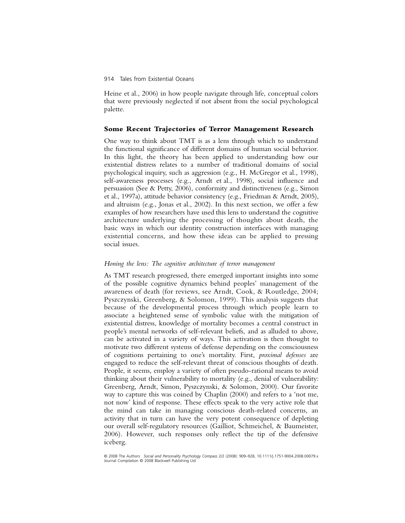Heine et al., 2006) in how people navigate through life, conceptual colors that were previously neglected if not absent from the social psychological palette.

## **Some Recent Trajectories of Terror Management Research**

One way to think about TMT is as a lens through which to understand the functional significance of different domains of human social behavior. In this light, the theory has been applied to understanding how our existential distress relates to a number of traditional domains of social psychological inquiry, such as aggression (e.g., H. McGregor et al., 1998), self-awareness processes (e.g., Arndt et al., 1998), social influence and persuasion (See & Petty, 2006), conformity and distinctiveness (e.g., Simon et al., 1997a), attitude behavior consistency (e.g., Friedman & Arndt, 2005), and altruism (e.g., Jonas et al., 2002). In this next section, we offer a few examples of how researchers have used this lens to understand the cognitive architecture underlying the processing of thoughts about death, the basic ways in which our identity construction interfaces with managing existential concerns, and how these ideas can be applied to pressing social issues.

## *Honing the lens: The cognitive architecture of terror management*

As TMT research progressed, there emerged important insights into some of the possible cognitive dynamics behind peoples' management of the awareness of death (for reviews, see Arndt, Cook, & Routledge, 2004; Pyszczynski, Greenberg, & Solomon, 1999). This analysis suggests that because of the developmental process through which people learn to associate a heightened sense of symbolic value with the mitigation of existential distress, knowledge of mortality becomes a central construct in people's mental networks of self-relevant beliefs, and as alluded to above, can be activated in a variety of ways. This activation is then thought to motivate two different systems of defense depending on the consciousness of cognitions pertaining to one's mortality. First, *proximal defenses* are engaged to reduce the self-relevant threat of conscious thoughts of death. People, it seems, employ a variety of often pseudo-rational means to avoid thinking about their vulnerability to mortality (e.g., denial of vulnerability: Greenberg, Arndt, Simon, Pyszczynski, & Solomon, 2000). Our favorite way to capture this was coined by Chaplin (2000) and refers to a 'not me, not now' kind of response. These effects speak to the very active role that the mind can take in managing conscious death-related concerns, an activity that in turn can have the very potent consequence of depleting our overall self-regulatory resources (Gailliot, Schmeichel, & Baumeister, 2006). However, such responses only reflect the tip of the defensive iceberg.

<sup>© 2008</sup> The Authors *Social and Personality Psychology Compass* 2/2 (2008): 909–928, 10.1111/j.1751-9004.2008.00079.x Journal Compilation © 2008 Blackwell Publishing Ltd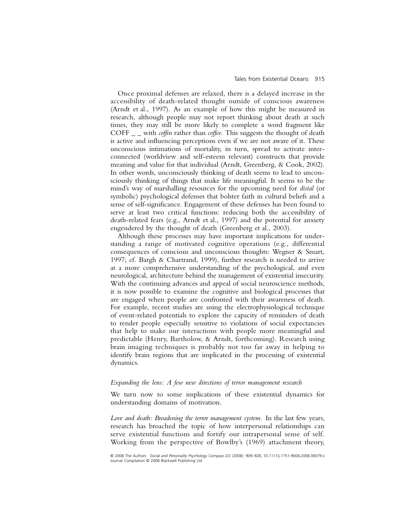Once proximal defenses are relaxed, there is a delayed increase in the accessibility of death-related thought outside of conscious awareness (Arndt et al., 1997). As an example of how this might be measured in research, although people may not report thinking about death at such times, they may still be more likely to complete a word fragment like COFF \_ \_ with *coffin* rather than *coffee.* This suggests the thought of death is active and influencing perceptions even if we are not aware of it. These unconscious intimations of mortality, in turn, spread to activate interconnected (worldview and self-esteem relevant) constructs that provide meaning and value for that individual (Arndt, Greenberg, & Cook, 2002). In other words, unconsciously thinking of death seems to lead to unconsciously thinking of things that make life meaningful. It seems to be the mind's way of marshalling resources for the upcoming need for *distal* (or symbolic) psychological defenses that bolster faith in cultural beliefs and a sense of self-significance. Engagement of these defenses has been found to serve at least two critical functions: reducing both the accessibility of death-related fears (e.g., Arndt et al., 1997) and the potential for anxiety engendered by the thought of death (Greenberg et al., 2003).

Although these processes may have important implications for understanding a range of motivated cognitive operations (e.g., differential consequences of conscious and unconscious thoughts: Wegner & Smart, 1997; cf. Bargh & Chartrand, 1999), further research is needed to arrive at a more comprehensive understanding of the psychological, and even neurological, architecture behind the management of existential insecurity. With the continuing advances and appeal of social neuroscience methods, it is now possible to examine the cognitive and biological processes that are engaged when people are confronted with their awareness of death. For example, recent studies are using the electrophysiological technique of event-related potentials to explore the capacity of reminders of death to render people especially sensitive to violations of social expectancies that help to make our interactions with people more meaningful and predictable (Henry, Bartholow, & Arndt, forthcoming). Research using brain imaging techniques is probably not too far away in helping to identify brain regions that are implicated in the processing of existential dynamics.

## *Expanding the lens: A few new directions of terror management research*

We turn now to some implications of these existential dynamics for understanding domains of motivation.

*Love and death: Broadening the terror management system.* In the last few years, research has broached the topic of how interpersonal relationships can serve existential functions and fortify our intrapersonal sense of self. Working from the perspective of Bowlby's (1969) attachment theory,

<sup>© 2008</sup> The Authors *Social and Personality Psychology Compass* 2/2 (2008): 909–928, 10.1111/j.1751-9004.2008.00079.x Journal Compilation © 2008 Blackwell Publishing Ltd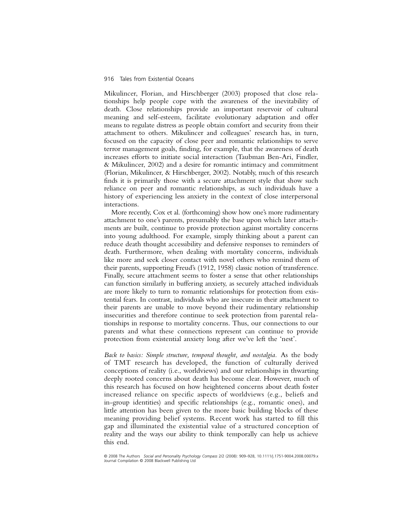Mikulincer, Florian, and Hirschberger (2003) proposed that close relationships help people cope with the awareness of the inevitability of death. Close relationships provide an important reservoir of cultural meaning and self-esteem, facilitate evolutionary adaptation and offer means to regulate distress as people obtain comfort and security from their attachment to others. Mikulincer and colleagues' research has, in turn, focused on the capacity of close peer and romantic relationships to serve terror management goals, finding, for example, that the awareness of death increases efforts to initiate social interaction (Taubman Ben-Ari, Findler, & Mikulincer, 2002) and a desire for romantic intimacy and commitment (Florian, Mikulincer, & Hirschberger, 2002). Notably, much of this research finds it is primarily those with a secure attachment style that show such reliance on peer and romantic relationships, as such individuals have a history of experiencing less anxiety in the context of close interpersonal interactions.

More recently, Cox et al. (forthcoming) show how one's more rudimentary attachment to one's parents, presumably the base upon which later attachments are built, continue to provide protection against mortality concerns into young adulthood. For example, simply thinking about a parent can reduce death thought accessibility and defensive responses to reminders of death. Furthermore, when dealing with mortality concerns, individuals like more and seek closer contact with novel others who remind them of their parents, supporting Freud's (1912, 1958) classic notion of transference. Finally, secure attachment seems to foster a sense that other relationships can function similarly in buffering anxiety, as securely attached individuals are more likely to turn to romantic relationships for protection from existential fears. In contrast, individuals who are insecure in their attachment to their parents are unable to move beyond their rudimentary relationship insecurities and therefore continue to seek protection from parental relationships in response to mortality concerns. Thus, our connections to our parents and what these connections represent can continue to provide protection from existential anxiety long after we've left the 'nest'.

*Back to basics: Simple structure, temporal thought, and nostalgia.* As the body of TMT research has developed, the function of culturally derived conceptions of reality (i.e., worldviews) and our relationships in thwarting deeply rooted concerns about death has become clear. However, much of this research has focused on how heightened concerns about death foster increased reliance on specific aspects of worldviews (e.g., beliefs and in-group identities) and specific relationships (e.g., romantic ones), and little attention has been given to the more basic building blocks of these meaning providing belief systems. Recent work has started to fill this gap and illuminated the existential value of a structured conception of reality and the ways our ability to think temporally can help us achieve this end.

<sup>© 2008</sup> The Authors *Social and Personality Psychology Compass* 2/2 (2008): 909–928, 10.1111/j.1751-9004.2008.00079.x Journal Compilation © 2008 Blackwell Publishing Ltd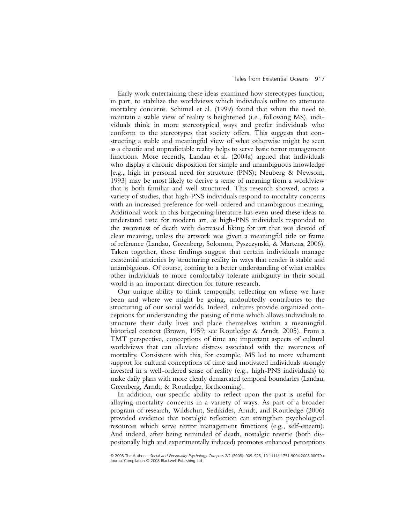Early work entertaining these ideas examined how stereotypes function, in part, to stabilize the worldviews which individuals utilize to attenuate mortality concerns. Schimel et al. (1999) found that when the need to maintain a stable view of reality is heightened (i.e., following MS), individuals think in more stereotypical ways and prefer individuals who conform to the stereotypes that society offers. This suggests that constructing a stable and meaningful view of what otherwise might be seen as a chaotic and unpredictable reality helps to serve basic terror management functions. More recently, Landau et al. (2004a) argued that individuals who display a chronic disposition for simple and unambiguous knowledge [e.g., high in personal need for structure (PNS); Neuberg & Newsom, 1993] may be most likely to derive a sense of meaning from a worldview that is both familiar and well structured. This research showed, across a variety of studies, that high-PNS individuals respond to mortality concerns with an increased preference for well-ordered and unambiguous meaning. Additional work in this burgeoning literature has even used these ideas to understand taste for modern art, as high-PNS individuals responded to the awareness of death with decreased liking for art that was devoid of clear meaning, unless the artwork was given a meaningful title or frame of reference (Landau, Greenberg, Solomon, Pyszczynski, & Martens, 2006). Taken together, these findings suggest that certain individuals manage existential anxieties by structuring reality in ways that render it stable and unambiguous. Of course, coming to a better understanding of what enables other individuals to more comfortably tolerate ambiguity in their social world is an important direction for future research.

Our unique ability to think temporally, reflecting on where we have been and where we might be going, undoubtedly contributes to the structuring of our social worlds. Indeed, cultures provide organized conceptions for understanding the passing of time which allows individuals to structure their daily lives and place themselves within a meaningful historical context (Brown, 1959; see Routledge & Arndt, 2005). From a TMT perspective, conceptions of time are important aspects of cultural worldviews that can alleviate distress associated with the awareness of mortality. Consistent with this, for example, MS led to more vehement support for cultural conceptions of time and motivated individuals strongly invested in a well-ordered sense of reality (e.g., high-PNS individuals) to make daily plans with more clearly demarcated temporal boundaries (Landau, Greenberg, Arndt, & Routledge, forthcoming).

In addition, our specific ability to reflect upon the past is useful for allaying mortality concerns in a variety of ways. As part of a broader program of research, Wildschut, Sedikides, Arndt, and Routledge (2006) provided evidence that nostalgic reflection can strengthen psychological resources which serve terror management functions (e.g., self-esteem). And indeed, after being reminded of death, nostalgic reverie (both dispositonally high and experimentally induced) promotes enhanced perceptions

<sup>© 2008</sup> The Authors *Social and Personality Psychology Compass* 2/2 (2008): 909–928, 10.1111/j.1751-9004.2008.00079.x Journal Compilation © 2008 Blackwell Publishing Ltd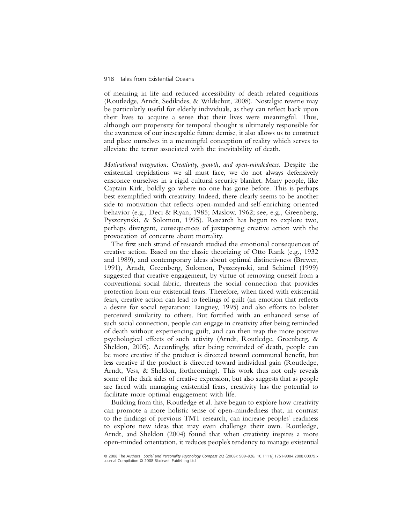of meaning in life and reduced accessibility of death related cognitions (Routledge, Arndt, Sedikides, & Wildschut, 2008). Nostalgic reverie may be particularly useful for elderly individuals, as they can reflect back upon their lives to acquire a sense that their lives were meaningful. Thus, although our propensity for temporal thought is ultimately responsible for the awareness of our inescapable future demise, it also allows us to construct and place ourselves in a meaningful conception of reality which serves to alleviate the terror associated with the inevitability of death.

*Motivational integration: Creativity, growth, and open-mindedness.* Despite the existential trepidations we all must face, we do not always defensively ensconce ourselves in a rigid cultural security blanket. Many people, like Captain Kirk, boldly go where no one has gone before. This is perhaps best exemplified with creativity. Indeed, there clearly seems to be another side to motivation that reflects open-minded and self-enriching oriented behavior (e.g., Deci & Ryan, 1985; Maslow, 1962; see, e.g., Greenberg, Pyszczynski, & Solomon, 1995). Research has begun to explore two, perhaps divergent, consequences of juxtaposing creative action with the provocation of concerns about mortality.

The first such strand of research studied the emotional consequences of creative action. Based on the classic theorizing of Otto Rank (e.g., 1932 and 1989), and contemporary ideas about optimal distinctivness (Brewer, 1991), Arndt, Greenberg, Solomon, Pyszczynski, and Schimel (1999) suggested that creative engagement, by virtue of removing oneself from a conventional social fabric, threatens the social connection that provides protection from our existential fears. Therefore, when faced with existential fears, creative action can lead to feelings of guilt (an emotion that reflects a desire for social reparation: Tangney, 1995) and also efforts to bolster perceived similarity to others. But fortified with an enhanced sense of such social connection, people can engage in creativity after being reminded of death without experiencing guilt, and can then reap the more positive psychological effects of such activity (Arndt, Routledge, Greenberg, & Sheldon, 2005). Accordingly, after being reminded of death, people can be more creative if the product is directed toward communal benefit, but less creative if the product is directed toward individual gain (Routledge, Arndt, Vess, & Sheldon, forthcoming). This work thus not only reveals some of the dark sides of creative expression, but also suggests that as people are faced with managing existential fears, creativity has the potential to facilitate more optimal engagement with life.

Building from this, Routledge et al. have begun to explore how creativity can promote a more holistic sense of open-mindedness that, in contrast to the findings of previous TMT research, can increase peoples' readiness to explore new ideas that may even challenge their own. Routledge, Arndt, and Sheldon (2004) found that when creativity inspires a more open-minded orientation, it reduces people's tendency to manage existential

<sup>© 2008</sup> The Authors *Social and Personality Psychology Compass* 2/2 (2008): 909–928, 10.1111/j.1751-9004.2008.00079.x Journal Compilation © 2008 Blackwell Publishing Ltd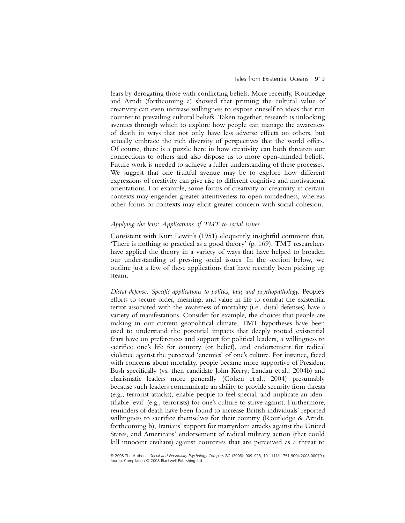fears by derogating those with conflicting beliefs. More recently, Routledge and Arndt (forthcoming a) showed that priming the cultural value of creativity can even increase willingness to expose oneself to ideas that run counter to prevailing cultural beliefs. Taken together, research is unlocking avenues through which to explore how people can manage the awareness of death in ways that not only have less adverse effects on others, but actually embrace the rich diversity of perspectives that the world offers. Of course, there is a puzzle here in how creativity can both threaten our connections to others and also dispose us to more open-minded beliefs. Future work is needed to achieve a fuller understanding of these processes. We suggest that one fruitful avenue may be to explore how different expressions of creativity can give rise to different cognitive and motivational orientations. For example, some forms of creativity or creativity in certain contexts may engender greater attentiveness to open mindedness, whereas other forms or contexts may elicit greater concern with social cohesion.

# *Applying the lens: Applications of TMT to social issues*

Consistent with Kurt Lewin's (1951) eloquently insightful comment that, 'There is nothing so practical as a good theory' (p. 169), TMT researchers have applied the theory in a variety of ways that have helped to broaden our understanding of pressing social issues. In the section below, we outline just a few of these applications that have recently been picking up steam.

*Distal defense: Specific applications to politics, law, and psychopathology.* People's efforts to secure order, meaning, and value in life to combat the existential terror associated with the awareness of mortality (i.e., distal defenses) have a variety of manifestations. Consider for example, the choices that people are making in our current geopolitical climate. TMT hypotheses have been used to understand the potential impacts that deeply rooted existential fears have on preferences and support for political leaders, a willingness to sacrifice one's life for country (or belief), and endorsement for radical violence against the perceived 'enemies' of one's culture. For instance, faced with concerns about mortality, people became more supportive of President Bush specifically (vs. then candidate John Kerry; Landau et al., 2004b) and charismatic leaders more generally (Cohen et al., 2004) presumably because such leaders communicate an ability to provide security from threats (e.g., terrorist attacks), enable people to feel special, and implicate an identifiable 'evil' (e.g., terrorists) for one's culture to strive against. Furthermore, reminders of death have been found to increase British individuals' reported willingness to sacrifice themselves for their country (Routledge & Arndt, forthcoming b), Iranians' support for martyrdom attacks against the United States, and Americans' endorsement of radical military action (that could kill innocent civilians) against countries that are perceived as a threat to

<sup>© 2008</sup> The Authors *Social and Personality Psychology Compass* 2/2 (2008): 909–928, 10.1111/j.1751-9004.2008.00079.x Journal Compilation © 2008 Blackwell Publishing Ltd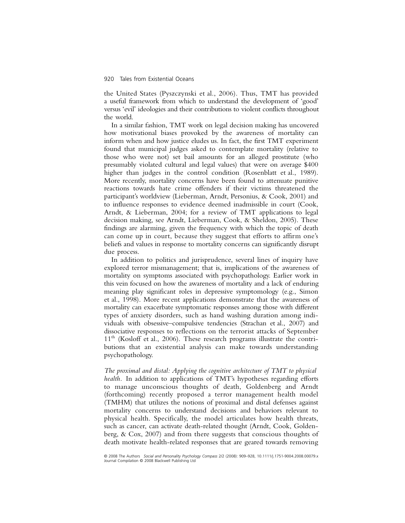the United States (Pyszczynski et al., 2006). Thus, TMT has provided a useful framework from which to understand the development of 'good' versus 'evil' ideologies and their contributions to violent conflicts throughout the world.

In a similar fashion, TMT work on legal decision making has uncovered how motivational biases provoked by the awareness of mortality can inform when and how justice eludes us. In fact, the first TMT experiment found that municipal judges asked to contemplate mortality (relative to those who were not) set bail amounts for an alleged prostitute (who presumably violated cultural and legal values) that were on average \$400 higher than judges in the control condition (Rosenblatt et al., 1989). More recently, mortality concerns have been found to attenuate punitive reactions towards hate crime offenders if their victims threatened the participant's worldview (Lieberman, Arndt, Personius, & Cook, 2001) and to influence responses to evidence deemed inadmissible in court (Cook, Arndt, & Lieberman, 2004; for a review of TMT applications to legal decision making, see Arndt, Lieberman, Cook, & Sheldon, 2005). These findings are alarming, given the frequency with which the topic of death can come up in court, because they suggest that efforts to affirm one's beliefs and values in response to mortality concerns can significantly disrupt due process.

In addition to politics and jurisprudence, several lines of inquiry have explored terror mismanagement; that is, implications of the awareness of mortality on symptoms associated with psychopathology. Earlier work in this vein focused on how the awareness of mortality and a lack of enduring meaning play significant roles in depressive symptomology (e.g., Simon et al., 1998). More recent applications demonstrate that the awareness of mortality can exacerbate symptomatic responses among those with different types of anxiety disorders, such as hand washing duration among individuals with obsessive–compulsive tendencies (Strachan et al., 2007) and dissociative responses to reflections on the terrorist attacks of September 11<sup>th</sup> (Kosloff et al., 2006). These research programs illustrate the contributions that an existential analysis can make towards understanding psychopathology.

*The proximal and distal: Applying the cognitive architecture of TMT to physical health.* In addition to applications of TMT's hypotheses regarding efforts to manage unconscious thoughts of death, Goldenberg and Arndt (forthcoming) recently proposed a terror management health model (TMHM) that utilizes the notions of proximal and distal defenses against mortality concerns to understand decisions and behaviors relevant to physical health. Specifically, the model articulates how health threats, such as cancer, can activate death-related thought (Arndt, Cook, Goldenberg, & Cox, 2007) and from there suggests that conscious thoughts of death motivate health-related responses that are geared towards removing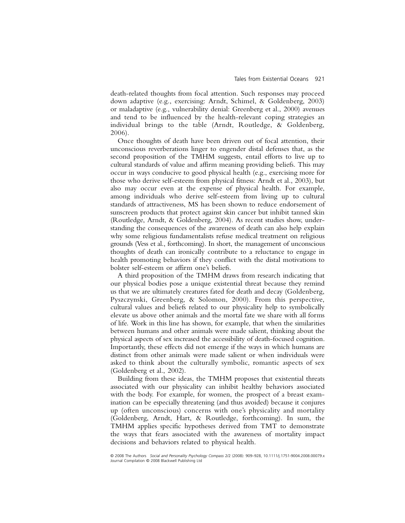death-related thoughts from focal attention. Such responses may proceed down adaptive (e.g., exercising: Arndt, Schimel, & Goldenberg, 2003) or maladaptive (e.g., vulnerability denial: Greenberg et al., 2000) avenues and tend to be influenced by the health-relevant coping strategies an individual brings to the table (Arndt, Routledge, & Goldenberg, 2006).

Once thoughts of death have been driven out of focal attention, their unconscious reverberations linger to engender distal defenses that, as the second proposition of the TMHM suggests, entail efforts to live up to cultural standards of value and affirm meaning providing beliefs. This may occur in ways conducive to good physical health (e.g., exercising more for those who derive self-esteem from physical fitness: Arndt et al., 2003), but also may occur even at the expense of physical health. For example, among individuals who derive self-esteem from living up to cultural standards of attractiveness, MS has been shown to reduce endorsement of sunscreen products that protect against skin cancer but inhibit tanned skin (Routledge, Arndt, & Goldenberg, 2004). As recent studies show, understanding the consequences of the awareness of death can also help explain why some religious fundamentalists refuse medical treatment on religious grounds (Vess et al., forthcoming). In short, the management of unconscious thoughts of death can ironically contribute to a reluctance to engage in health promoting behaviors if they conflict with the distal motivations to bolster self-esteem or affirm one's beliefs.

A third proposition of the TMHM draws from research indicating that our physical bodies pose a unique existential threat because they remind us that we are ultimately creatures fated for death and decay (Goldenberg, Pyszczynski, Greenberg, & Solomon, 2000). From this perspective, cultural values and beliefs related to our physicality help to symbolically elevate us above other animals and the mortal fate we share with all forms of life. Work in this line has shown, for example, that when the similarities between humans and other animals were made salient, thinking about the physical aspects of sex increased the accessibility of death-focused cognition. Importantly, these effects did not emerge if the ways in which humans are distinct from other animals were made salient or when individuals were asked to think about the culturally symbolic, romantic aspects of sex (Goldenberg et al., 2002).

Building from these ideas, the TMHM proposes that existential threats associated with our physicality can inhibit healthy behaviors associated with the body. For example, for women, the prospect of a breast examination can be especially threatening (and thus avoided) because it conjures up (often unconscious) concerns with one's physicality and mortality (Goldenberg, Arndt, Hart, & Routledge, forthcoming). In sum, the TMHM applies specific hypotheses derived from TMT to demonstrate the ways that fears associated with the awareness of mortality impact decisions and behaviors related to physical health.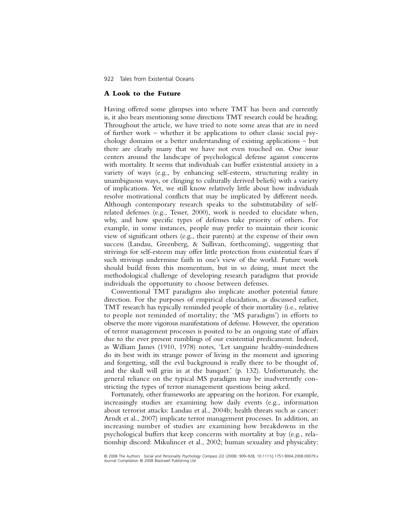## **A Look to the Future**

Having offered some glimpses into where TMT has been and currently is, it also bears mentioning some directions TMT research could be heading. Throughout the article, we have tried to note some areas that are in need of further work – whether it be applications to other classic social psychology domains or a better understanding of existing applications – but there are clearly many that we have not even touched on. One issue centers around the landscape of psychological defense against concerns with mortality. It seems that individuals can buffer existential anxiety in a variety of ways (e.g., by enhancing self-esteem, structuring reality in unambiguous ways, or clinging to culturally derived beliefs) with a variety of implications. Yet, we still know relatively little about how individuals resolve motivational conflicts that may be implicated by different needs. Although contemporary research speaks to the substitutability of selfrelated defenses (e.g., Tesser, 2000), work is needed to elucidate when, why, and how specific types of defenses take priority of others. For example, in some instances, people may prefer to maintain their iconic view of significant others (e.g., their parents) at the expense of their own success (Landau, Greenberg, & Sullivan, forthcoming), suggesting that strivings for self-esteem may offer little protection from existential fears if such strivings undermine faith in one's view of the world. Future work should build from this momentum, but in so doing, must meet the methodological challenge of developing research paradigms that provide individuals the opportunity to choose between defenses.

Conventional TMT paradigms also implicate another potential future direction. For the purposes of empirical elucidation, as discussed earlier, TMT research has typically reminded people of their mortality (i.e., relative to people not reminded of mortality; the 'MS paradigm') in efforts to observe the more vigorous manifestations of defense. However, the operation of terror management processes is posited to be an ongoing state of affairs due to the ever present rumblings of our existential predicament. Indeed, as William James (1910, 1978) notes, 'Let sanguine healthy-mindedness do its best with its strange power of living in the moment and ignoring and forgetting, still the evil background is really there to be thought of, and the skull will grin in at the banquet.' (p. 132). Unfortunately, the general reliance on the typical MS paradigm may be inadvertently constricting the types of terror management questions being asked.

Fortunately, other frameworks are appearing on the horizon. For example, increasingly studies are examining how daily events (e.g., information about terrorist attacks: Landau et al., 2004b; health threats such as cancer: Arndt et al., 2007) implicate terror management processes. In addition, an increasing number of studies are examining how breakdowns in the psychological buffers that keep concerns with mortality at bay (e.g., relationship discord: Mikulincer et al., 2002; human sexuality and physicality:

<sup>© 2008</sup> The Authors *Social and Personality Psychology Compass* 2/2 (2008): 909–928, 10.1111/j.1751-9004.2008.00079.x Journal Compilation © 2008 Blackwell Publishing Ltd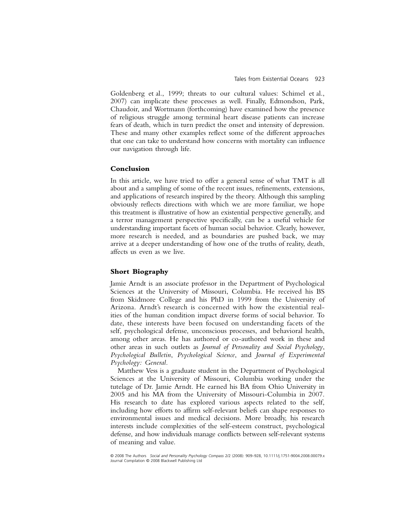Goldenberg et al., 1999; threats to our cultural values: Schimel et al., 2007) can implicate these processes as well. Finally, Edmondson, Park, Chaudoir, and Wortmann (forthcoming) have examined how the presence of religious struggle among terminal heart disease patients can increase fears of death, which in turn predict the onset and intensity of depression. These and many other examples reflect some of the different approaches that one can take to understand how concerns with mortality can influence our navigation through life.

## **Conclusion**

In this article, we have tried to offer a general sense of what TMT is all about and a sampling of some of the recent issues, refinements, extensions, and applications of research inspired by the theory. Although this sampling obviously reflects directions with which we are more familiar, we hope this treatment is illustrative of how an existential perspective generally, and a terror management perspective specifically, can be a useful vehicle for understanding important facets of human social behavior. Clearly, however, more research is needed, and as boundaries are pushed back, we may arrive at a deeper understanding of how one of the truths of reality, death, affects us even as we live.

## **Short Biography**

Jamie Arndt is an associate professor in the Department of Psychological Sciences at the University of Missouri, Columbia. He received his BS from Skidmore College and his PhD in 1999 from the University of Arizona. Arndt's research is concerned with how the existential realities of the human condition impact diverse forms of social behavior. To date, these interests have been focused on understanding facets of the self, psychological defense, unconscious processes, and behavioral health, among other areas. He has authored or co-authored work in these and other areas in such outlets as *Journal of Personality and Social Psychology*, *Psychological Bulletin*, *Psychological Science*, and *Journal of Experimental Psychology: General.*

Matthew Vess is a graduate student in the Department of Psychological Sciences at the University of Missouri, Columbia working under the tutelage of Dr. Jamie Arndt. He earned his BA from Ohio University in 2005 and his MA from the University of Missouri-Columbia in 2007. His research to date has explored various aspects related to the self, including how efforts to affirm self-relevant beliefs can shape responses to environmental issues and medical decisions. More broadly, his research interests include complexities of the self-esteem construct, psychological defense, and how individuals manage conflicts between self-relevant systems of meaning and value.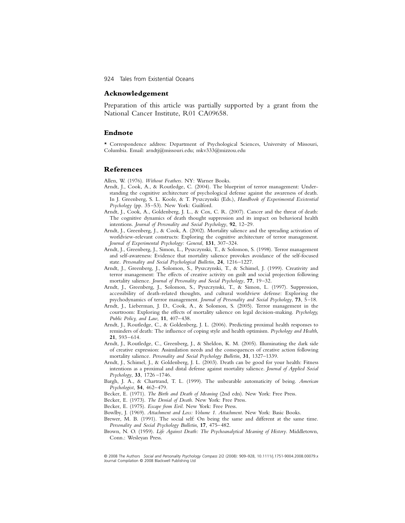## **Acknowledgement**

Preparation of this article was partially supported by a grant from the National Cancer Institute, R01 CA09658.

### **Endnote**

\* Correspondence address: Department of Psychological Sciences, University of Missouri, Columbia. Email: arndtj@missouri.edu; mkv333@mizzou.edu

### **References**

Allen, W. (1976). *Without Feathers*. NY: Warner Books.

- Arndt, J., Cook, A., & Routledge, C. (2004). The blueprint of terror management: Understanding the cognitive architecture of psychological defense against the awareness of death. In J. Greenberg, S. L. Koole, & T. Pyszczynski (Eds.), *Handbook of Experimental Existential Psychology* (pp. 35–53). New York: Guilford.
- Arndt, J., Cook, A., Goldenberg, J. L., & Cox, C. R. (2007). Cancer and the threat of death: The cognitive dynamics of death thought suppression and its impact on behavioral health intentions. *Journal of Personality and Social Psychology*, **92**, 12–29.
- Arndt, J., Greenberg, J., & Cook, A. (2002). Mortality salience and the spreading activation of worldview-relevant constructs: Exploring the cognitive architecture of terror management. *Journal of Experimental Psychology: General*, **131**, 307–324.
- Arndt, J., Greenberg, J., Simon, L., Pyszczynski, T., & Solomon, S. (1998). Terror management and self-awareness: Evidence that mortality salience provokes avoidance of the self-focused state. *Personality and Social Psychological Bulletin*, **24**, 1216–1227.
- Arndt, J., Greenberg, J., Solomon, S., Pyszczynski, T., & Schimel, J. (1999). Creativity and terror management: The effects of creative activity on guilt and social projection following mortality salience. *Journal of Personality and Social Psychology*, **77**, 19–32.
- Arndt, J., Greenberg, J., Solomon, S., Pyszczynski, T., & Simon, L. (1997). Suppression, accessibility of death-related thoughts, and cultural worldview defense: Exploring the psychodynamics of terror management. *Journal of Personality and Social Psychology*, **73**, 5–18.
- Arndt, J., Lieberman, J. D., Cook, A., & Solomon, S. (2005). Terror management in the courtroom: Exploring the effects of mortality salience on legal decision-making. *Psychology, Public Policy, and Law*, **11**, 407–438.
- Arndt, J., Routledge, C., & Goldenberg, J. L. (2006). Predicting proximal health responses to reminders of death: The influence of coping style and health optimism. *Psychology and Health*, **21**, 593–614.
- Arndt, J., Routledge, C., Greenberg, J., & Sheldon, K. M. (2005). Illuminating the dark side of creative expression: Assimilation needs and the consequences of creative action following mortality salience. *Personality and Social Psychology Bulletin*, **31**, 1327–1339.
- Arndt, J., Schimel, J., & Goldenberg, J. L. (2003). Death can be good for your health: Fitness intentions as a proximal and distal defense against mortality salience. *Journal of Applied Social Psychology*, **33**, 1726 –1746.
- Bargh, J. A., & Chartrand, T. L. (1999). The unbearable automaticity of being. *American Psychologist*, **54**, 462–479.
- Becker, E. (1971). *The Birth and Death of Meaning* (2nd edn). New York: Free Press.
- Becker, E. (1973). *The Denial of Death*. New York: Free Press.
- Becker, E. (1975). *Escape from Evil*. New York: Free Press.
- Bowlby, J. (1969). *Attachment and Loss: Volume 1. Attachment*. New York: Basic Books.
- Brewer, M. B. (1991). The social self: On being the same and different at the same time. *Personality and Social Psychology Bulletin*, **17**, 475–482.
- Brown, N. O. (1959). *Life Against Death: The Psychoanalytical Meaning of History*. Middletown, Conn.: Wesleyan Press.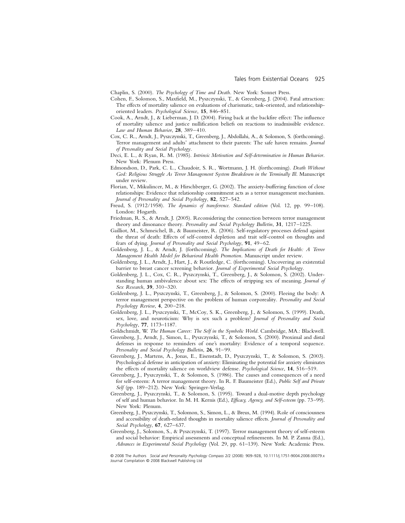Chaplin, S. (2000). *The Psychology of Time and Death*. New York: Sonnet Press.

- Cohen, F., Solomon, S., Maxfield, M., Pyszczynski, T., & Greenberg, J. (2004). Fatal attraction: The effects of mortality salience on evaluations of charismatic, task-oriented, and relationshiporiented leaders. *Psychological Science*, **15**, 846–851.
- Cook, A., Arndt, J., & Lieberman, J. D. (2004). Firing back at the backfire effect: The influence of mortality salience and justice nullification beliefs on reactions to inadmissible evidence. *Law and Human Behavior*, **28**, 389–410.
- Cox, C. R., Arndt, J., Pyszczynski, T., Greenberg, J., Abdollahi, A., & Solomon, S. (forthcoming). Terror management and adults' attachment to their parents: The safe haven remains. *Journal of Personality and Social Psychology*.
- Deci, E. L., & Ryan, R. M. (1985). *Intrinsic Motivation and Self-determination in Human Behavior*. New York: Plenum Press.
- Edmondson, D., Park, C. L., Chaudoir, S. R., Wortmann, J. H. (forthcoming). *Death Without* God: Religious Struggle As Terror Management System Breakdown in the Terminally Ill. Manuscript under review.
- Florian, V., Mikulincer, M., & Hirschberger, G. (2002). The anxiety-buffering function of close relationships: Evidence that relationship commitment acts as a terror management mechanism. *Journal of Personality and Social Psychology*, **82**, 527–542.
- Freud, S. (1912/1958). *The dynamics of transference. Standard edition* (Vol. 12, pp. 99–108). London: Hogarth.
- Friedman, R. S., & Arndt, J. (2005). Reconsidering the connection between terror management theory and dissonance theory. *Personality and Social Psychology Bulletin*, **31**, 1217–1225.
- Gailliot, M., Schmeichel, B., & Baumeister, R. (2006). Self-regulatory processes defend against the threat of death: Effects of self-control depletion and trait self-control on thoughts and fears of dying. *Journal of Personality and Social Psychology*, **91**, 49–62.
- Goldenberg, J. L., & Arndt, J. (forthcoming). *The Implications of Death for Health: A Terror Management Health Model for Behavioral Health Promotion*. Manuscript under review.
- Goldenberg, J. L., Arndt, J., Hart, J., & Routledge, C. (forthcoming). Uncovering an existential barrier to breast cancer screening behavior. *Journal of Experimental Social Psychology*.
- Goldenberg, J. L., Cox, C. R., Pyszczynski, T., Greenberg, J., & Solomon, S. (2002). Understanding human ambivalence about sex: The effects of stripping sex of meaning. *Journal of Sex Research*, **39**, 310–320.
- Goldenberg, J. L., Pyszczynski, T., Greenberg, J., & Solomon, S. (2000). Fleeing the body: A terror management perspective on the problem of human corporeality. *Personality and Social Psychology Review*, **4**, 200–218.
- Goldenberg, J. L., Pyszczynski, T., McCoy, S. K., Greenberg, J., & Solomon, S. (1999). Death, sex, love, and neuroticism: Why is sex such a problem? *Journal of Personality and Social Psychology*, **77**, 1173–1187.
- Goldschmidt, W. *The Human Career: The Self in the Symbolic World*. Cambridge, MA.: Blackwell.
- Greenberg, J., Arndt, J., Simon, L., Pyszczynski, T., & Solomon, S. (2000). Proximal and distal defenses in response to reminders of one's mortality: Evidence of a temporal sequence. *Personality and Social Psychology Bulletin*, **26**, 91–99.
- Greenberg, J., Martens, A., Jonas, E., Eisenstadt, D., Pyszczynski, T., & Solomon, S. (2003). Psychological defense in anticipation of anxiety: Eliminating the potential for anxiety eliminates the effects of mortality salience on worldview defense. *Psychological Science*, **14**, 516–519.
- Greenberg, J., Pyszczynski, T., & Solomon, S. (1986). The causes and consequences of a need for self-esteem: A terror management theory. In R. F. Baumeister (Ed.), *Public Self and Private Self* (pp. 189–212). New York: Springer-Verlag.
- Greenberg, J., Pyszczynski, T., & Solomon, S. (1995). Toward a dual-motive depth psychology of self and human behavior. In M. H. Kernis (Ed.), *Efficacy, Agency, and Self-esteem* (pp. 73–99). New York: Plenum.
- Greenberg, J., Pyszczynski, T., Solomon, S., Simon, L., & Breus, M. (1994). Role of consciousness and accessibility of death-related thoughts in mortality salience effects. *Journal of Personality and Social Psychology*, **67**, 627–637.
- Greenberg, J., Solomon, S., & Pyszczynski, T. (1997). Terror management theory of self-esteem and social behavior: Empirical assessments and conceptual refinements. In M. P. Zanna (Ed.), *Advances in Experimental Social Psychology* (Vol. 29, pp. 61–139). New York: Academic Press.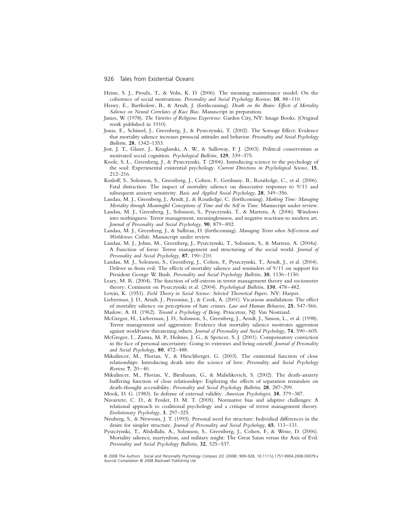- Heine, S. J., Proulx, T., & Vohs, K. D. (2006). The meaning maintenance model: On the coherence of social motivations. *Personality and Social Psychology Review*, **10**, 88–110.
- Henry, E., Bartholow, B., & Arndt, J. (forthcoming). *Death on the Brain: Effects of Mortality Salience on Neural Correlates of Race Bias*. Manuscript in preparation.
- James, W. (1978). *The Varieties of Religious Experience*. Garden City, NY: Image Books. (Original work published in 1910).
- Jonas, E., Schimel, J., Greenberg, J., & Pyszczynski, T. (2002). The Scrooge Effect: Evidence that mortality salience increases prosocial attitudes and behavior. *Personality and Social Psychology Bulletin*, **28**, 1342–1353.
- Jost, J. T., Glaser, J., Kruglanski, A. W., & Sulloway, F. J. (2003). Political conservatism as motivated social cognition. *Psychological Bulletin*, **129**, 339–375.
- Koole, S. L., Greenberg, J., & Pyszczynski, T. (2006). Introducing science to the psychology of the soul: Experimental existential psychology. *Current Directions in Psychological Science*, **15**, 212–216.
- Kosloff, S., Solomon, S., Greenberg, J., Cohen, F., Gershuny, B., Routledge, C., et al. (2006). Fatal distraction: The impact of mortality salience on dissociative responses to 9/11 and subsequent anxiety sensitivity. *Basic and Applied Social Psychology*, **28**, 349–356.
- Landau, M. J., Greenberg, J., Arndt, J., & Routledge, C. (forthcoming). *Marking Time: Managing Mortality through Meaningful Conceptions of Time and the Self in Time*. Manuscript under review.
- Landau, M. J., Greenberg, J., Solomon, S., Pyszczynski, T., & Martens, A. (2006). Windows into nothingness: Terror management, meaninglessness, and negative reactions to modern art. *Journal of Personality and Social Psychology*, **90**, 879–892.
- Landau, M. J., Greenberg, J., & Sullivan, D. (forthcoming). *Managing Terror when Self-esteem and Worldviews Collide*. Manuscript under review.
- Landau, M. J., Johns, M., Greenberg, J., Pyszczynski, T., Solomon, S., & Martens, A. (2004a). A Function of form: Terror management and structuring of the social world. *Journal of Personality and Social Psychology*, **87**, 190–210.
- Landau, M. J., Solomon, S., Greenberg, J., Cohen, F., Pyszczynski, T., Arndt, J., et al. (2004). Deliver us from evil: The effects of mortality salience and reminders of 9/11 on support for President George W. Bush. *Personality and Social Psychology Bulletin*, **30**, 1136–1150.
- Leary, M. R. (2004). The function of self-esteem in terror management theory and sociometer theory: Comment on Pyszczynski et al. (2004). *Psychological Bulletin*, **130**, 478–482.
- Lewin, K. (1951). *Field Theory in Social Science: Selected Theoretical Papers*. NY: Harper.
- Lieberman, J. D., Arndt, J., Personius, J., & Cook, A. (2001). Vicarious annihilation: The effect of mortality salience on perceptions of hate crimes. *Law and Human Behavior*, **25**, 547–566. Maslow, A. H. (1962). *Toward a Psychology of Being*. Princeton, NJ: Van Nostrand.
- McGregor, H., Lieberman, J. D., Solomon, S., Greenberg, J., Arndt, J., Simon, L., et al. (1998). Terror management and aggression: Evidence that mortality salience motivates aggression
- against worldview threatening others. *Journal of Personality and Social Psychology*, **74**, 590–605. McGregor, I., Zanna, M. P., Holmes, J. G., & Spencer, S. J. (2001). Compensatory conviction in the face of personal uncertainty: Going to extremes and being oneself. *Journal of Personality and Social Psychology*, **80**, 472–488.
- Mikulincer, M., Florian, V., & Hirschberger, G. (2003). The existential function of close relationships: Introducing death into the science of love. *Personality and Social Psychology Review*, **7**, 20–40.
- Mikulincer, M., Florian, V., Birnbaum, G., & Malishkevich, S. (2002). The death-anxiety buffering function of close relationships: Exploring the effects of separation reminders on death-thought accessibility. *Personality and Social Psychology Bulletin*, **28**, 287–299.
- Mook, D. G. (1983). In defense of external validity. *American Psychologist*, **38**, 379–387.
- Navarrete, C. D., & Fessler, D. M. T. (2005). Normative bias and adaptive challenges: A relational approach to coalitional psychology and a critique of terror management theory. *Evolutionary Psychology*, **3**, 297–325.
- Neuberg, S., & Newsom, J. T. (1993). Personal need for structure: Individual differences in the desire for simpler structure. *Journal of Personality and Social Psychology*, **65**, 113–131.
- Pyszczynski, T., Abdollahi, A., Solomon, S., Greenberg, J., Cohen, F., & Weise, D. (2006). Mortality salience, martyrdom, and military might: The Great Satan versus the Axis of Evil. *Personality and Social Psychology Bulletin*, **32**, 525–537.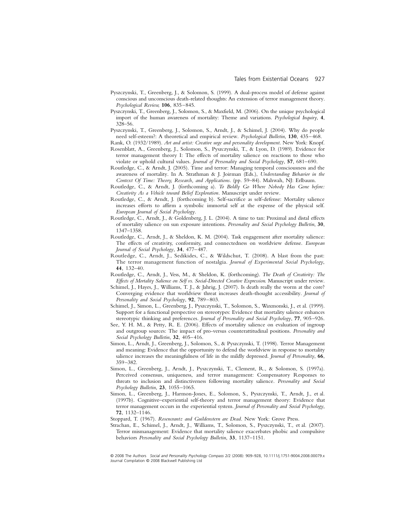- Pyszczynski, T., Greenberg, J., & Solomon, S. (1999). A dual-process model of defense against conscious and unconscious death-related thoughts: An extension of terror management theory. *Psychological Review*, **106**, 835–845.
- Pyszczynski, T., Greenberg, J., Solomon, S., & Maxfield, M. (2006). On the unique psychological import of the human awareness of mortality: Theme and variations. *Psychological Inquiry*, **4**, 328–56.
- Pyszczynski, T., Greenberg, J., Solomon, S., Arndt, J., & Schimel, J. (2004). Why do people need self-esteem?: A theoretical and empirical review. *Psychological Bulletin*, **130**, 435–468.
- Rank, O. (1932/1989). *Art and artist: Creative urge and personality development*. New York: Knopf.
- Rosenblatt, A., Greenberg, J., Solomon, S., Pyszczynski, T., & Lyon, D. (1989). Evidence for terror management theory I: The effects of mortality salience on reactions to those who violate or uphold cultural values. *Journal of Personality and Social Psychology*, **57**, 681–690.
- Routledge, C., & Arndt, J. (2005). Time and terror: Managing temporal consciousness and the awareness of mortality. In A. Strathman & J. Joirman (Eds.), *Understanding Behavior in the Context Of Time: Theory, Research, and Applications*. (pp. 59–84). Mahwah, NJ: Erlbaum.
- Routledge, C., & Arndt, J. (forthcoming a). *To Boldly Go Where Nobody Has Gone before: Creativity As a Vehicle toward Belief Exploration*. Manuscript under review.
- Routledge, C., & Arndt, J. (forthcoming b). Self-sacrifice as self-defense: Mortality salience increases efforts to affirm a symbolic immortal self at the expense of the physical self. *European Journal of Social Psychology*.
- Routledge, C., Arndt, J., & Goldenberg, J. L. (2004). A time to tan: Proximal and distal effects of mortality salience on sun exposure intentions. *Personality and Social Psychology Bulletin*, **30**, 1347–1358.
- Routledge, C., Arndt, J., & Sheldon, K. M. (2004). Task engagement after mortality salience: The effects of creativity, conformity, and connectedness on worldview defense. *European Journal of Social Psychology*, **34**, 477–487.
- Routledge, C., Arndt, J., Sedikides, C., & Wildschut, T. (2008). A blast from the past: The terror management function of nostalgia. *Journal of Experimental Social Psychology*, **44**, 132–40.
- Routledge, C., Arndt, J., Vess, M., & Sheldon, K. (forthcoming). *The Death of Creativity: The Effects of Mortality Salience on Self vs. Social-Directed Creative Expression*. Manuscript under review.
- Schimel, J., Hayes, J., Williams, T. J., & Jahrig, J. (2007). Is death really the worm at the core? Converging evidence that worldview threat increases death-thought accessibility. *Journal of Personality and Social Psychology*, **92**, 789–803.
- Schimel, J., Simon, L., Greenberg, J., Pyszczynski, T., Solomon, S., Waxmonski, J., et al. (1999). Support for a functional perspective on stereotypes: Evidence that mortality salience enhances stereotypic thinking and preferences. *Journal of Personality and Social Psychology*, **77**, 905–926.
- See, Y. H. M., & Petty, R. E. (2006). Effects of mortality salience on evaluation of ingroup and outgroup sources: The impact of pro-versus counterattitudinal positions. *Personality and Social Psychology Bulletin*, **32**, 405–416.
- Simon, L., Arndt, J., Greenberg, J., Solomon, S., & Pyszczynski, T. (1998). Terror Management and meaning: Evidence that the opportunity to defend the worldview in response to mortality salience increases the meaningfulness of life in the mildly depressed. *Journal of Personality*, **66**, 359–382.
- Simon, L., Greenberg, J., Arndt, J., Pyszczynski, T., Clement, R., & Solomon, S. (1997a). Perceived consensus, uniqueness, and terror management: Compensatory Responses to threats to inclusion and distinctiveness following mortality salience. *Personality and Social Psychology Bulletin*, **23**, 1055–1065.
- Simon, L., Greenberg, J., Harmon-Jones, E., Solomon, S., Pyszczynski, T., Arndt, J., et al. (1997b). Cognitive–experiential self-theory and terror management theory: Evidence that terror management occurs in the experiential system. *Journal of Personality and Social Psychology*, **72**, 1132–1146.
- Stoppard, T. (1967). *Rosencrantz and Guildenstern are Dead*. New York: Grove Press.
- Strachan, E., Schimel, J., Arndt, J., Williams, T., Solomon, S., Pyszczynski, T., et al. (2007). Terror mismanagement: Evidence that mortality salience exacerbates phobic and compulsive behaviors *Personality and Social Psychology Bulletin*, **33**, 1137–1151.